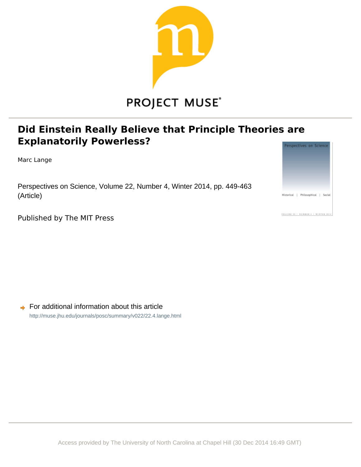

# **Did Einstein Really Believe that Principle Theories are**

Marc Lange

Perspectives on Science, Volume 22, Number 4, Winter 2014, pp. 449-463 (Article)

Published by The MIT Press

**Explanatorily Powerless?** 

Historical | Philosophical | Social VOLUME 22 | NUMBER 4 | WINTER 2014

Perspectives on Science

 $\rightarrow$  For additional information about this article <http://muse.jhu.edu/journals/posc/summary/v022/22.4.lange.html>

Access provided by The University of North Carolina at Chapel Hill (30 Dec 2014 16:49 GMT)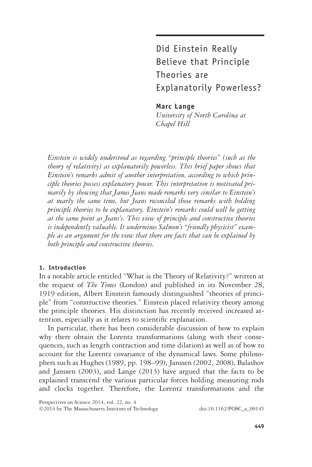# Did Einstein Really Believe that Principle Theories are Explanatorily Powerless?

#### **Marc Lange**

*University of North Carolina at Chapel Hill*

*Einstein is widely understood as regarding "principle theories" (such as the theory of relativity) as explanatorily powerless. This brief paper shows that Einstein's remarks admit of another interpretation, according to which principle theories possess explanatory power. This interpretation is motivated primarily by showing that James Jeans made remarks very similar to Einstein's at nearly the same time, but Jeans reconciled those remarks with holding principle theories to be explanatory. Einstein's remarks could well be getting at the same point as Jeans's. This view of principle and constructive theories is independently valuable. It undermines Salmon's "friendly physicist" example as an argument for the view that there are facts that can be explained by both principle and constructive theories.*

#### **1. Introduction**

In a notable article entitled "What is the Theory of Relativity?" written at the request of *The Times* (London) and published in its November 28, 1919 edition, Albert Einstein famously distinguished "theories of principle" from "constructive theories." Einstein placed relativity theory among the principle theories. His distinction has recently received increased attention, especially as it relates to scientific explanation.

In particular, there has been considerable discussion of how to explain why there obtain the Lorentz transformations (along with their consequences, such as length contraction and time dilation) as well as of how to account for the Lorentz covariance of the dynamical laws. Some philosophers such as Hughes (1989, pp. 198–99), Janssen (2002, 2008), Balashov and Janssen (2003), and Lange (2013) have argued that the facts to be explained transcend the various particular forces holding measuring rods and clocks together. Therefore, the Lorentz transformations and the

<sup>©2014</sup> by The Massachusetts Institute of Technology doi:10.1162/POSC\_a\_00145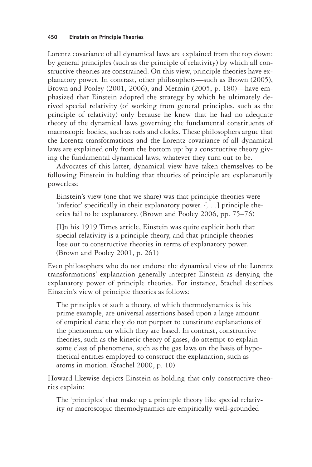Lorentz covariance of all dynamical laws are explained from the top down: by general principles (such as the principle of relativity) by which all constructive theories are constrained. On this view, principle theories have explanatory power. In contrast, other philosophers—such as Brown (2005), Brown and Pooley (2001, 2006), and Mermin (2005, p. 180)—have emphasized that Einstein adopted the strategy by which he ultimately derived special relativity (of working from general principles, such as the principle of relativity) only because he knew that he had no adequate theory of the dynamical laws governing the fundamental constituents of macroscopic bodies, such as rods and clocks. These philosophers argue that the Lorentz transformations and the Lorentz covariance of all dynamical laws are explained only from the bottom up: by a constructive theory giving the fundamental dynamical laws, whatever they turn out to be.

Advocates of this latter, dynamical view have taken themselves to be following Einstein in holding that theories of principle are explanatorily powerless:

Einstein's view (one that we share) was that principle theories were 'inferior' specifically in their explanatory power.  $[...]$  principle theories fail to be explanatory. (Brown and Pooley 2006, pp. 75–76)

[I]n his 1919 Times article, Einstein was quite explicit both that special relativity is a principle theory, and that principle theories lose out to constructive theories in terms of explanatory power. (Brown and Pooley 2001, p. 261)

Even philosophers who do not endorse the dynamical view of the Lorentz transformations' explanation generally interpret Einstein as denying the explanatory power of principle theories. For instance, Stachel describes Einstein's view of principle theories as follows:

The principles of such a theory, of which thermodynamics is his prime example, are universal assertions based upon a large amount of empirical data; they do not purport to constitute explanations of the phenomena on which they are based. In contrast, constructive theories, such as the kinetic theory of gases, do attempt to explain some class of phenomena, such as the gas laws on the basis of hypothetical entities employed to construct the explanation, such as atoms in motion. (Stachel 2000, p. 10)

Howard likewise depicts Einstein as holding that only constructive theories explain:

The 'principles' that make up a principle theory like special relativity or macroscopic thermodynamics are empirically well-grounded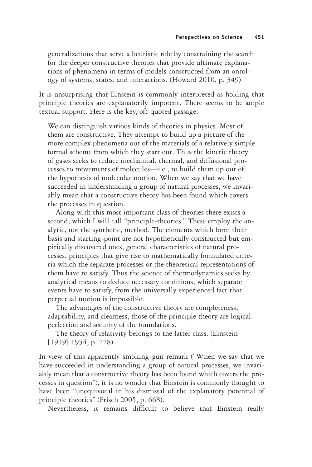generalizations that serve a heuristic role by constraining the search for the deeper constructive theories that provide ultimate explanations of phenomena in terms of models constructed from an ontology of systems, states, and interactions. (Howard 2010, p. 349)

It is unsurprising that Einstein is commonly interpreted as holding that principle theories are explanatorily impotent. There seems to be ample textual support. Here is the key, oft-quoted passage:

We can distinguish various kinds of theories in physics. Most of them are constructive. They attempt to build up a picture of the more complex phenomena out of the materials of a relatively simple formal scheme from which they start out. Thus the kinetic theory of gases seeks to reduce mechanical, thermal, and diffusional processes to movements of molecules—i.e., to build them up out of the hypothesis of molecular motion. When we say that we have succeeded in understanding a group of natural processes, we invariably mean that a constructive theory has been found which covers the processes in question.

Along with this most important class of theories there exists a second, which I will call "principle-theories." These employ the analytic, not the synthetic, method. The elements which form their basis and starting-point are not hypothetically constructed but empirically discovered ones, general characteristics of natural processes, principles that give rise to mathematically formulated criteria which the separate processes or the theoretical representations of them have to satisfy. Thus the science of thermodynamics seeks by analytical means to deduce necessary conditions, which separate events have to satisfy, from the universally experienced fact that perpetual motion is impossible.

The advantages of the constructive theory are completeness, adaptability, and clearness, those of the principle theory are logical perfection and security of the foundations.

The theory of relativity belongs to the latter class. (Einstein [1919] 1954, p. 228)

In view of this apparently smoking-gun remark ("When we say that we have succeeded in understanding a group of natural processes, we invariably mean that a constructive theory has been found which covers the processes in question"), it is no wonder that Einstein is commonly thought to have been "unequivocal in his dismissal of the explanatory potential of principle theories" (Frisch 2005, p. 668).

Nevertheless, it remains difficult to believe that Einstein really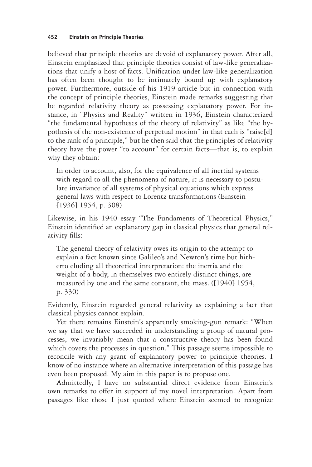believed that principle theories are devoid of explanatory power. After all, Einstein emphasized that principle theories consist of law-like generalizations that unify a host of facts. Unification under law-like generalization has often been thought to be intimately bound up with explanatory power. Furthermore, outside of his 1919 article but in connection with the concept of principle theories, Einstein made remarks suggesting that he regarded relativity theory as possessing explanatory power. For instance, in "Physics and Reality" written in 1936, Einstein characterized "the fundamental hypotheses of the theory of relativity" as like "the hypothesis of the non-existence of perpetual motion" in that each is "raise[d] to the rank of a principle," but he then said that the principles of relativity theory have the power "to account" for certain facts—that is, to explain why they obtain:

In order to account, also, for the equivalence of all inertial systems with regard to all the phenomena of nature, it is necessary to postulate invariance of all systems of physical equations which express general laws with respect to Lorentz transformations (Einstein [1936] 1954, p. 308)

Likewise, in his 1940 essay "The Fundaments of Theoretical Physics," Einstein identified an explanatory gap in classical physics that general relativity fills:

The general theory of relativity owes its origin to the attempt to explain a fact known since Galileo's and Newton's time but hitherto eluding all theoretical interpretation: the inertia and the weight of a body, in themselves two entirely distinct things, are measured by one and the same constant, the mass. ([1940] 1954, p. 330)

Evidently, Einstein regarded general relativity as explaining a fact that classical physics cannot explain.

Yet there remains Einstein's apparently smoking-gun remark: "When we say that we have succeeded in understanding a group of natural processes, we invariably mean that a constructive theory has been found which covers the processes in question." This passage seems impossible to reconcile with any grant of explanatory power to principle theories. I know of no instance where an alternative interpretation of this passage has even been proposed. My aim in this paper is to propose one.

Admittedly, I have no substantial direct evidence from Einstein's own remarks to offer in support of my novel interpretation. Apart from passages like those I just quoted where Einstein seemed to recognize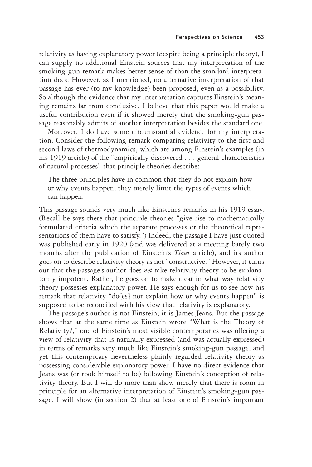relativity as having explanatory power (despite being a principle theory), I can supply no additional Einstein sources that my interpretation of the smoking-gun remark makes better sense of than the standard interpretation does. However, as I mentioned, no alternative interpretation of that passage has ever (to my knowledge) been proposed, even as a possibility. So although the evidence that my interpretation captures Einstein's meaning remains far from conclusive, I believe that this paper would make a useful contribution even if it showed merely that the smoking-gun passage reasonably admits of another interpretation besides the standard one.

Moreover, I do have some circumstantial evidence for my interpretation. Consider the following remark comparing relativity to the first and second laws of thermodynamics, which are among Einstein's examples (in his 1919 article) of the "empirically discovered . . . general characteristics of natural processes" that principle theories describe:

The three principles have in common that they do not explain how or why events happen; they merely limit the types of events which can happen.

This passage sounds very much like Einstein's remarks in his 1919 essay. (Recall he says there that principle theories "give rise to mathematically formulated criteria which the separate processes or the theoretical representations of them have to satisfy.") Indeed, the passage I have just quoted was published early in 1920 (and was delivered at a meeting barely two months after the publication of Einstein's *Times* article), and its author goes on to describe relativity theory as not "constructive." However, it turns out that the passage's author does *not* take relativity theory to be explanatorily impotent. Rather, he goes on to make clear in what way relativity theory possesses explanatory power. He says enough for us to see how his remark that relativity "do[es] not explain how or why events happen" is supposed to be reconciled with his view that relativity is explanatory.

The passage's author is not Einstein; it is James Jeans. But the passage shows that at the same time as Einstein wrote "What is the Theory of Relativity?," one of Einstein's most visible contemporaries was offering a view of relativity that is naturally expressed (and was actually expressed) in terms of remarks very much like Einstein's smoking-gun passage, and yet this contemporary nevertheless plainly regarded relativity theory as possessing considerable explanatory power. I have no direct evidence that Jeans was (or took himself to be) following Einstein's conception of relativity theory. But I will do more than show merely that there is room in principle for an alternative interpretation of Einstein's smoking-gun passage. I will show (in section 2) that at least one of Einstein's important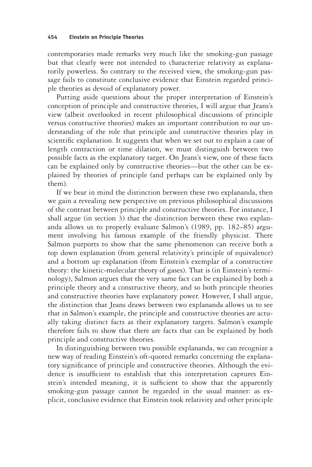contemporaries made remarks very much like the smoking-gun passage but that clearly were not intended to characterize relativity as explanatorily powerless. So contrary to the received view, the smoking-gun passage fails to constitute conclusive evidence that Einstein regarded principle theories as devoid of explanatory power.

Putting aside questions about the proper interpretation of Einstein's conception of principle and constructive theories, I will argue that Jeans's view (albeit overlooked in recent philosophical discussions of principle versus constructive theories) makes an important contribution to our understanding of the role that principle and constructive theories play in scientific explanation. It suggests that when we set out to explain a case of length contraction or time dilation, we must distinguish between two possible facts as the explanatory target. On Jeans's view, one of these facts can be explained only by constructive theories—but the other can be explained by theories of principle (and perhaps can be explained only by them).

If we bear in mind the distinction between these two explananda, then we gain a revealing new perspective on previous philosophical discussions of the contrast between principle and constructive theories. For instance, I shall argue (in section 3) that the distinction between these two explananda allows us to properly evaluate Salmon's (1989, pp. 182–85) argument involving his famous example of the friendly physicist. There Salmon purports to show that the same phenomenon can receive both a top down explanation (from general relativity's principle of equivalence) and a bottom up explanation (from Einstein's exemplar of a constructive theory: the kinetic-molecular theory of gases). That is (in Einstein's terminology), Salmon argues that the very same fact can be explained by both a principle theory and a constructive theory, and so both principle theories and constructive theories have explanatory power. However, I shall argue, the distinction that Jeans draws between two explananda allows us to see that in Salmon's example, the principle and constructive theories are actually taking distinct facts as their explanatory targets. Salmon's example therefore fails to show that there are facts that can be explained by both principle and constructive theories.

In distinguishing between two possible explananda, we can recognize a new way of reading Einstein's oft-quoted remarks concerning the explanatory significance of principle and constructive theories. Although the evidence is insufficient to establish that this interpretation captures Einstein's intended meaning, it is sufficient to show that the apparently smoking-gun passage cannot be regarded in the usual manner: as explicit, conclusive evidence that Einstein took relativity and other principle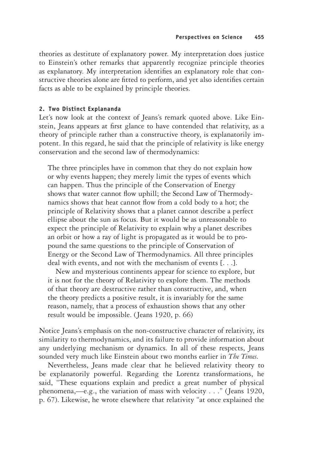theories as destitute of explanatory power. My interpretation does justice to Einstein's other remarks that apparently recognize principle theories as explanatory. My interpretation identifies an explanatory role that constructive theories alone are fitted to perform, and yet also identifies certain facts as able to be explained by principle theories.

#### **2. Two Distinct Explananda**

Let's now look at the context of Jeans's remark quoted above. Like Einstein, Jeans appears at first glance to have contended that relativity, as a theory of principle rather than a constructive theory, is explanatorily impotent. In this regard, he said that the principle of relativity is like energy conservation and the second law of thermodynamics:

The three principles have in common that they do not explain how or why events happen; they merely limit the types of events which can happen. Thus the principle of the Conservation of Energy shows that water cannot flow uphill; the Second Law of Thermodynamics shows that heat cannot flow from a cold body to a hot; the principle of Relativity shows that a planet cannot describe a perfect ellipse about the sun as focus. But it would be as unreasonable to expect the principle of Relativity to explain why a planet describes an orbit or how a ray of light is propagated as it would be to propound the same questions to the principle of Conservation of Energy or the Second Law of Thermodynamics. All three principles deal with events, and not with the mechanism of events [. . .].

New and mysterious continents appear for science to explore, but it is not for the theory of Relativity to explore them. The methods of that theory are destructive rather than constructive, and, when the theory predicts a positive result, it is invariably for the same reason, namely, that a process of exhaustion shows that any other result would be impossible. (Jeans 1920, p. 66)

Notice Jeans's emphasis on the non-constructive character of relativity, its similarity to thermodynamics, and its failure to provide information about any underlying mechanism or dynamics. In all of these respects, Jeans sounded very much like Einstein about two months earlier in *The Times.*

Nevertheless, Jeans made clear that he believed relativity theory to be explanatorily powerful. Regarding the Lorentz transformations, he said, "These equations explain and predict a great number of physical phenomena,—e.g., the variation of mass with velocity . . ." (Jeans 1920, p. 67). Likewise, he wrote elsewhere that relativity "at once explained the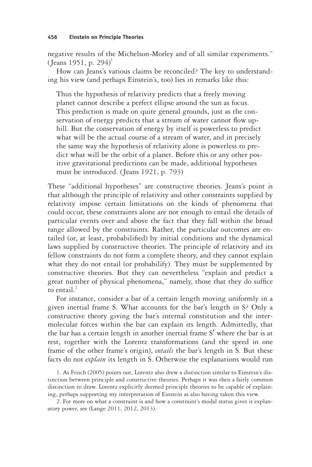negative results of the Michelson-Morley and of all similar experiments." (Jeans 1951, p. 294)<sup>1</sup>

How can Jeans's various claims be reconciled? The key to understanding his view (and perhaps Einstein's, too) lies in remarks like this:

Thus the hypothesis of relativity predicts that a freely moving planet cannot describe a perfect ellipse around the sun as focus. This prediction is made on quite general grounds, just as the conservation of energy predicts that a stream of water cannot flow uphill. But the conservation of energy by itself is powerless to predict what will be the actual course of a stream of water, and in precisely the same way the hypothesis of relativity alone is powerless to predict what will be the orbit of a planet. Before this or any other positive gravitational predictions can be made, additional hypotheses must be introduced. (Jeans 1921, p. 793)

These "additional hypotheses" are constructive theories. Jeans's point is that although the principle of relativity and other constraints supplied by relativity impose certain limitations on the kinds of phenomena that could occur, these constraints alone are not enough to entail the details of particular events over and above the fact that they fall within the broad range allowed by the constraints. Rather, the particular outcomes are entailed (or, at least, probabilified) by initial conditions and the dynamical laws supplied by constructive theories. The principle of relativity and its fellow constraints do not form a complete theory, and they cannot explain what they do not entail (or probabilify). They must be supplemented by constructive theories. But they can nevertheless "explain and predict a great number of physical phenomena," namely, those that they do suffice to entail.<sup>2</sup>

For instance, consider a bar of a certain length moving uniformly in a given inertial frame S. What accounts for the bar's length in S? Only a constructive theory giving the bar's internal constitution and the intermolecular forces within the bar can explain its length. Admittedly, that the bar has a certain length in another inertial frame S′ where the bar is at rest, together with the Lorentz transformations (and the speed in one frame of the other frame's origin), *entails* the bar's length in S. But these facts do not *explain* its length in S. Otherwise the explanations would run

1. As Frisch (2005) points out, Lorentz also drew a distinction similar to Einstein's distinction between principle and constructive theories. Perhaps it was then a fairly common distinction to draw. Lorentz explicitly deemed principle theories to be capable of explaining, perhaps supporting my interpretation of Einstein as also having taken this view.

2. For more on what a constraint is and how a constraint's modal status gives it explanatory power, see (Lange 2011, 2012, 2013).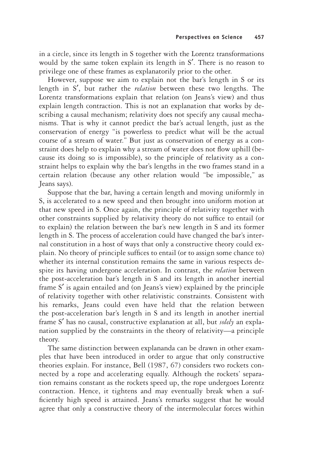in a circle, since its length in S together with the Lorentz transformations would by the same token explain its length in S′. There is no reason to privilege one of these frames as explanatorily prior to the other.

However, suppose we aim to explain not the bar's length in S or its length in S′, but rather the *relation* between these two lengths. The Lorentz transformations explain that relation (on Jeans's view) and thus explain length contraction. This is not an explanation that works by describing a causal mechanism; relativity does not specify any causal mechanisms. That is why it cannot predict the bar's actual length, just as the conservation of energy "is powerless to predict what will be the actual course of a stream of water." But just as conservation of energy as a constraint does help to explain why a stream of water does not flow uphill (because its doing so is impossible), so the principle of relativity as a constraint helps to explain why the bar's lengths in the two frames stand in a certain relation (because any other relation would "be impossible," as Jeans says).

Suppose that the bar, having a certain length and moving uniformly in S, is accelerated to a new speed and then brought into uniform motion at that new speed in S. Once again, the principle of relativity together with other constraints supplied by relativity theory do not suffice to entail (or to explain) the relation between the bar's new length in S and its former length in S. The process of acceleration could have changed the bar's internal constitution in a host of ways that only a constructive theory could explain. No theory of principle suffices to entail (or to assign some chance to) whether its internal constitution remains the same in various respects despite its having undergone acceleration. In contrast, the *relation* between the post-acceleration bar's length in S and its length in another inertial frame S′ is again entailed and (on Jeans's view) explained by the principle of relativity together with other relativistic constraints. Consistent with his remarks, Jeans could even have held that the relation between the post-acceleration bar's length in S and its length in another inertial frame S′ has no causal, constructive explanation at all, but *solely* an explanation supplied by the constraints in the theory of relativity—a principle theory.

The same distinction between explananda can be drawn in other examples that have been introduced in order to argue that only constructive theories explain. For instance, Bell (1987, 67) considers two rockets connected by a rope and accelerating equally. Although the rockets' separation remains constant as the rockets speed up, the rope undergoes Lorentz contraction. Hence, it tightens and may eventually break when a sufficiently high speed is attained. Jeans's remarks suggest that he would agree that only a constructive theory of the intermolecular forces within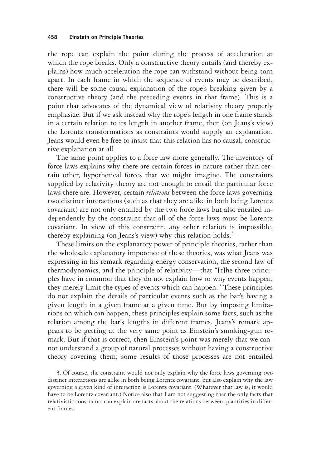the rope can explain the point during the process of acceleration at which the rope breaks. Only a constructive theory entails (and thereby explains) how much acceleration the rope can withstand without being torn apart. In each frame in which the sequence of events may be described, there will be some causal explanation of the rope's breaking given by a constructive theory (and the preceding events in that frame). This is a point that advocates of the dynamical view of relativity theory properly emphasize. But if we ask instead why the rope's length in one frame stands in a certain relation to its length in another frame, then (on Jeans's view) the Lorentz transformations as constraints would supply an explanation. Jeans would even be free to insist that this relation has no causal, constructive explanation at all.

The same point applies to a force law more generally. The inventory of force laws explains why there are certain forces in nature rather than certain other, hypothetical forces that we might imagine. The constraints supplied by relativity theory are not enough to entail the particular force laws there are. However, certain *relations* between the force laws governing two distinct interactions (such as that they are alike in both being Lorentz covariant) are not only entailed by the two force laws but also entailed independently by the constraint that all of the force laws must be Lorentz covariant. In view of this constraint, any other relation is impossible, thereby explaining (on Jeans's view) why this relation holds. $3$ 

These limits on the explanatory power of principle theories, rather than the wholesale explanatory impotence of these theories, was what Jeans was expressing in his remark regarding energy conservation, the second law of thermodynamics, and the principle of relativity—that "[t]he three principles have in common that they do not explain how or why events happen; they merely limit the types of events which can happen." These principles do not explain the details of particular events such as the bar's having a given length in a given frame at a given time. But by imposing limitations on which can happen, these principles explain some facts, such as the relation among the bar's lengths in different frames. Jeans's remark appears to be getting at the very same point as Einstein's smoking-gun remark. But if that is correct, then Einstein's point was merely that we cannot understand a group of natural processes without having a constructive theory covering them; some results of those processes are not entailed

3. Of course, the constraint would not only explain why the force laws governing two distinct interactions are alike in both being Lorentz covariant, but also explain why the law governing a given kind of interaction is Lorentz covariant. (Whatever that law is, it would have to be Lorentz covariant.) Notice also that I am not suggesting that the only facts that relativistic constraints can explain are facts about the relations between quantities in different frames.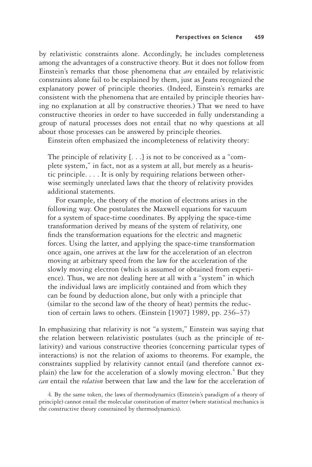by relativistic constraints alone. Accordingly, he includes completeness among the advantages of a constructive theory. But it does not follow from Einstein's remarks that those phenomena that *are* entailed by relativistic constraints alone fail to be explained by them, just as Jeans recognized the explanatory power of principle theories. (Indeed, Einstein's remarks are consistent with the phenomena that are entailed by principle theories having no explanation at all by constructive theories.) That we need to have constructive theories in order to have succeeded in fully understanding a group of natural processes does not entail that no why questions at all about those processes can be answered by principle theories.

Einstein often emphasized the incompleteness of relativity theory:

The principle of relativity [. . .] is not to be conceived as a "complete system," in fact, not as a system at all, but merely as a heuristic principle. . . . It is only by requiring relations between otherwise seemingly unrelated laws that the theory of relativity provides additional statements.

For example, the theory of the motion of electrons arises in the following way. One postulates the Maxwell equations for vacuum for a system of space-time coordinates. By applying the space-time transformation derived by means of the system of relativity, one finds the transformation equations for the electric and magnetic forces. Using the latter, and applying the space-time transformation once again, one arrives at the law for the acceleration of an electron moving at arbitrary speed from the law for the acceleration of the slowly moving electron (which is assumed or obtained from experience). Thus, we are not dealing here at all with a "system" in which the individual laws are implicitly contained and from which they can be found by deduction alone, but only with a principle that (similar to the second law of the theory of heat) permits the reduction of certain laws to others. (Einstein [1907] 1989, pp. 236–37)

In emphasizing that relativity is not "a system," Einstein was saying that the relation between relativistic postulates (such as the principle of relativity) and various constructive theories (concerning particular types of interactions) is not the relation of axioms to theorems. For example, the constraints supplied by relativity cannot entail (and therefore cannot explain) the law for the acceleration of a slowly moving electron.<sup>4</sup> But they *can* entail the *relation* between that law and the law for the acceleration of

4. By the same token, the laws of thermodynamics (Einstein's paradigm of a theory of principle) cannot entail the molecular constitution of matter (where statistical mechanics is the constructive theory constrained by thermodynamics).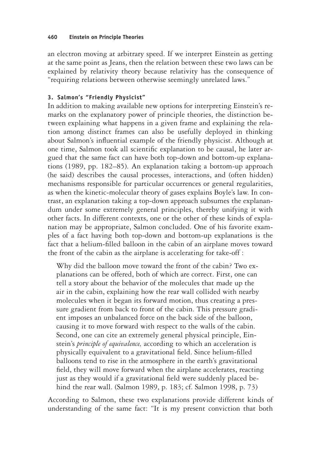an electron moving at arbitrary speed. If we interpret Einstein as getting at the same point as Jeans, then the relation between these two laws can be explained by relativity theory because relativity has the consequence of "requiring relations between otherwise seemingly unrelated laws."

## **3. Salmon's "Friendly Physicist"**

In addition to making available new options for interpreting Einstein's remarks on the explanatory power of principle theories, the distinction between explaining what happens in a given frame and explaining the relation among distinct frames can also be usefully deployed in thinking about Salmon's influential example of the friendly physicist. Although at one time, Salmon took all scientific explanation to be causal, he later argued that the same fact can have both top-down and bottom-up explanations (1989, pp. 182–85). An explanation taking a bottom-up approach (he said) describes the causal processes, interactions, and (often hidden) mechanisms responsible for particular occurrences or general regularities, as when the kinetic-molecular theory of gases explains Boyle's law. In contrast, an explanation taking a top-down approach subsumes the explanandum under some extremely general principles, thereby unifying it with other facts. In different contexts, one or the other of these kinds of explanation may be appropriate, Salmon concluded. One of his favorite examples of a fact having both top-down and bottom-up explanations is the fact that a helium-filled balloon in the cabin of an airplane moves toward the front of the cabin as the airplane is accelerating for take-off :

Why did the balloon move toward the front of the cabin? Two explanations can be offered, both of which are correct. First, one can tell a story about the behavior of the molecules that made up the air in the cabin, explaining how the rear wall collided with nearby molecules when it began its forward motion, thus creating a pressure gradient from back to front of the cabin. This pressure gradient imposes an unbalanced force on the back side of the balloon, causing it to move forward with respect to the walls of the cabin. Second, one can cite an extremely general physical principle, Einstein's *principle of equivalence,* according to which an acceleration is physically equivalent to a gravitational field. Since helium-filled balloons tend to rise in the atmosphere in the earth's gravitational field, they will move forward when the airplane accelerates, reacting just as they would if a gravitational field were suddenly placed behind the rear wall. (Salmon 1989, p. 183; cf. Salmon 1998, p. 73)

According to Salmon, these two explanations provide different kinds of understanding of the same fact: "It is my present conviction that both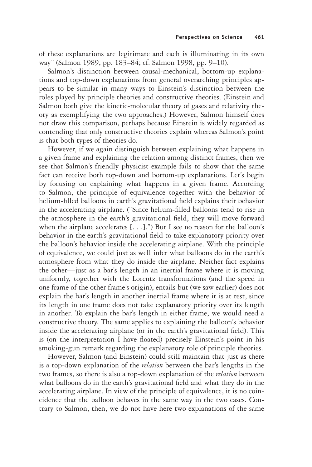of these explanations are legitimate and each is illuminating in its own way" (Salmon 1989, pp. 183–84; cf. Salmon 1998, pp. 9–10).

Salmon's distinction between causal-mechanical, bottom-up explanations and top-down explanations from general overarching principles appears to be similar in many ways to Einstein's distinction between the roles played by principle theories and constructive theories. (Einstein and Salmon both give the kinetic-molecular theory of gases and relativity theory as exemplifying the two approaches.) However, Salmon himself does not draw this comparison, perhaps because Einstein is widely regarded as contending that only constructive theories explain whereas Salmon's point is that both types of theories do.

However, if we again distinguish between explaining what happens in a given frame and explaining the relation among distinct frames, then we see that Salmon's friendly physicist example fails to show that the same fact can receive both top-down and bottom-up explanations. Let's begin by focusing on explaining what happens in a given frame. According to Salmon, the principle of equivalence together with the behavior of helium-filled balloons in earth's gravitational field explains their behavior in the accelerating airplane. ("Since helium-filled balloons tend to rise in the atmosphere in the earth's gravitational field, they will move forward when the airplane accelerates [. . .].") But I see no reason for the balloon's behavior in the earth's gravitational field to take explanatory priority over the balloon's behavior inside the accelerating airplane. With the principle of equivalence, we could just as well infer what balloons do in the earth's atmosphere from what they do inside the airplane. Neither fact explains the other—just as a bar's length in an inertial frame where it is moving uniformly, together with the Lorentz transformations (and the speed in one frame of the other frame's origin), entails but (we saw earlier) does not explain the bar's length in another inertial frame where it is at rest, since its length in one frame does not take explanatory priority over its length in another. To explain the bar's length in either frame, we would need a constructive theory. The same applies to explaining the balloon's behavior inside the accelerating airplane (or in the earth's gravitational field). This is (on the interpretation I have floated) precisely Einstein's point in his smoking-gun remark regarding the explanatory role of principle theories.

However, Salmon (and Einstein) could still maintain that just as there is a top-down explanation of the *relation* between the bar's lengths in the two frames, so there is also a top-down explanation of the *relation* between what balloons do in the earth's gravitational field and what they do in the accelerating airplane. In view of the principle of equivalence, it is no coincidence that the balloon behaves in the same way in the two cases. Contrary to Salmon, then, we do not have here two explanations of the same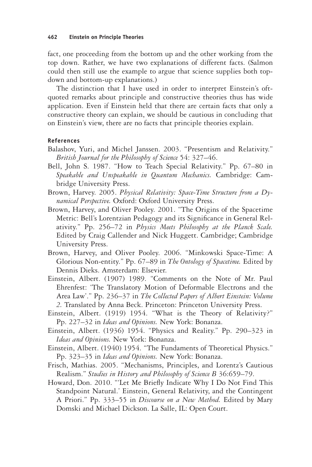fact, one proceeding from the bottom up and the other working from the top down. Rather, we have two explanations of different facts. (Salmon could then still use the example to argue that science supplies both topdown and bottom-up explanations.)

The distinction that I have used in order to interpret Einstein's oftquoted remarks about principle and constructive theories thus has wide application. Even if Einstein held that there are certain facts that only a constructive theory can explain, we should be cautious in concluding that on Einstein's view, there are no facts that principle theories explain.

### **References**

- Balashov, Yuri, and Michel Janssen. 2003. "Presentism and Relativity." *British Journal for the Philosophy of Science* 54: 327–46.
- Bell, John S. 1987. "How to Teach Special Relativity." Pp. 67–80 in *Speakable and Unspeakable in Quantum Mechanics.* Cambridge: Cambridge University Press.
- Brown, Harvey. 2005. *Physical Relativity: Space-Time Structure from a Dynamical Perspective.* Oxford: Oxford University Press.
- Brown, Harvey, and Oliver Pooley. 2001. "The Origins of the Spacetime Metric: Bell's Lorentzian Pedagogy and its Significance in General Relativity." Pp. 256–72 in *Physics Meets Philosophy at the Planck Scale.* Edited by Craig Callender and Nick Huggett. Cambridge; Cambridge University Press.
- Brown, Harvey, and Oliver Pooley. 2006. "Minkowski Space-Time: A Glorious Non-entity." Pp. 67–89 in *The Ontology of Spacetime.* Edited by Dennis Dieks. Amsterdam: Elsevier.
- Einstein, Albert. (1907) 1989. "Comments on the Note of Mr. Paul Ehrenfest: 'The Translatory Motion of Deformable Electrons and the Area Law'." Pp. 236–37 in *The Collected Papers of Albert Einstein: Volume 2.* Translated by Anna Beck. Princeton: Princeton University Press.
- Einstein, Albert. (1919) 1954. "What is the Theory of Relativity?" Pp. 227–32 in *Ideas and Opinions.* New York: Bonanza.
- Einstein, Albert. (1936) 1954. "Physics and Reality." Pp. 290–323 in *Ideas and Opinions.* New York: Bonanza.
- Einstein, Albert. (1940) 1954. "The Fundaments of Theoretical Physics." Pp. 323–35 in *Ideas and Opinions.* New York: Bonanza.
- Frisch, Mathias. 2005. "Mechanisms, Principles, and Lorentz's Cautious Realism." *Studies in History and Philosophy of Science B* 36:659–79.
- Howard, Don. 2010. "'Let Me Briefly Indicate Why I Do Not Find This Standpoint Natural.' Einstein, General Relativity, and the Contingent A Priori." Pp. 333–55 in *Discourse on a New Method.* Edited by Mary Domski and Michael Dickson. La Salle, IL: Open Court.